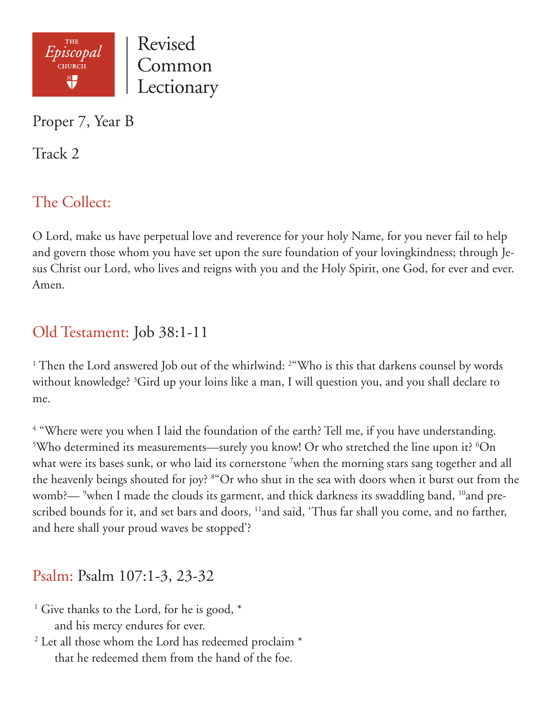

Proper 7, Year B

Track 2

# The Collect:

O Lord, make us have perpetual love and reverence for your holy Name, for you never fail to help and govern those whom you have set upon the sure foundation of your lovingkindness; through Jesus Christ our Lord, who lives and reigns with you and the Holy Spirit, one God, for ever and ever. Amen.

### Old Testament: Job 38:1-11

<sup>1</sup> Then the Lord answered Job out of the whirlwind: <sup>2</sup> "Who is this that darkens counsel by words without knowledge? 3 Gird up your loins like a man, I will question you, and you shall declare to me.

<sup>4</sup> "Where were you when I laid the foundation of the earth? Tell me, if you have understanding. <sup>5</sup>Who determined its measurements—surely you know! Or who stretched the line upon it?  ${}^{6}$ On what were its bases sunk, or who laid its cornerstone <sup>7</sup>when the morning stars sang together and all the heavenly beings shouted for joy? 8 "Or who shut in the sea with doors when it burst out from the womb?— <sup>9</sup>when I made the clouds its garment, and thick darkness its swaddling band, <sup>10</sup>and prescribed bounds for it, and set bars and doors, <sup>11</sup>and said, 'Thus far shall you come, and no farther, and here shall your proud waves be stopped'?

### Psalm: Psalm 107:1-3, 23-32

- <sup>1</sup> Give thanks to the Lord, for he is good,  $*$ and his mercy endures for ever.
- <sup>2</sup> Let all those whom the Lord has redeemed proclaim \* that he redeemed them from the hand of the foe.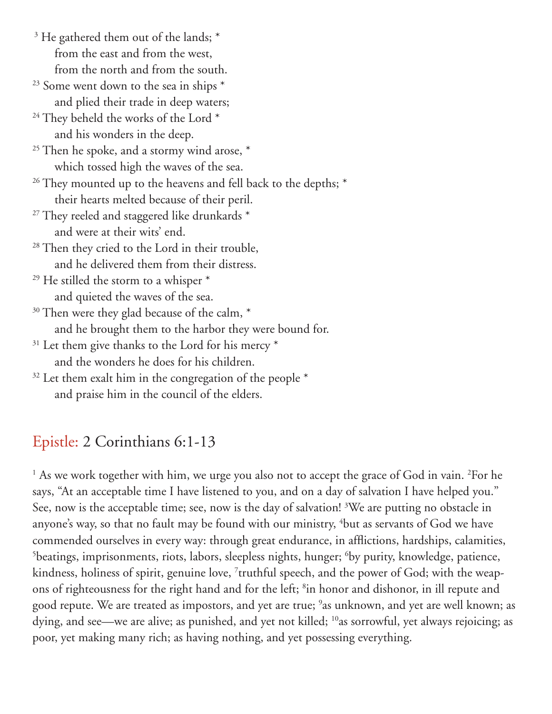- <sup>3</sup> He gathered them out of the lands; \* from the east and from the west, from the north and from the south.
- $23$  Some went down to the sea in ships  $*$ and plied their trade in deep waters;
- <sup>24</sup> They beheld the works of the Lord<sup>\*</sup> and his wonders in the deep.
- <sup>25</sup> Then he spoke, and a stormy wind arose,  $*$ which tossed high the waves of the sea.
- <sup>26</sup> They mounted up to the heavens and fell back to the depths; \* their hearts melted because of their peril.
- <sup>27</sup> They reeled and staggered like drunkards \* and were at their wits' end.
- <sup>28</sup> Then they cried to the Lord in their trouble, and he delivered them from their distress.
- $29$  He stilled the storm to a whisper  $*$ and quieted the waves of the sea.
- $30$  Then were they glad because of the calm,  $*$ and he brought them to the harbor they were bound for.
- $31$  Let them give thanks to the Lord for his mercy  $*$ and the wonders he does for his children.
- $32$  Let them exalt him in the congregation of the people  $*$ and praise him in the council of the elders.

# Epistle: 2 Corinthians 6:1-13

<sup>1</sup> As we work together with him, we urge you also not to accept the grace of God in vain. <sup>2</sup>For he says, "At an acceptable time I have listened to you, and on a day of salvation I have helped you." See, now is the acceptable time; see, now is the day of salvation! <sup>3</sup>We are putting no obstacle in anyone's way, so that no fault may be found with our ministry,  $^4$ but as servants of God we have commended ourselves in every way: through great endurance, in afflictions, hardships, calamities, <sup>5</sup>beatings, imprisonments, riots, labors, sleepless nights, hunger; <sup>6</sup>by purity, knowledge, patience, kindness, holiness of spirit, genuine love, 7 truthful speech, and the power of God; with the weapons of righteousness for the right hand and for the left; <sup>8</sup>in honor and dishonor, in ill repute and good repute. We are treated as impostors, and yet are true; <sup>9</sup>as unknown, and yet are well known; as dying, and see—we are alive; as punished, and yet not killed; <sup>10</sup>as sorrowful, yet always rejoicing; as poor, yet making many rich; as having nothing, and yet possessing everything.